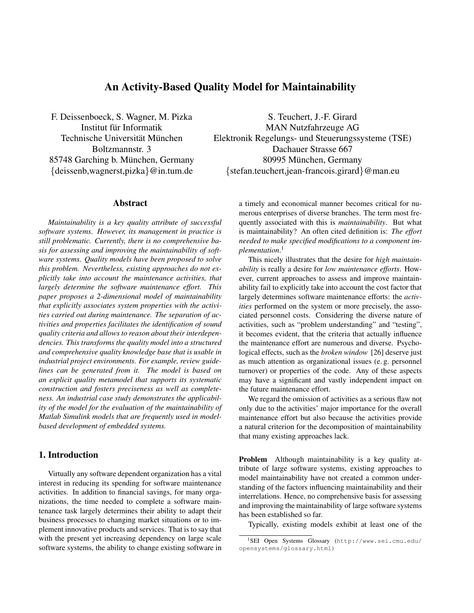# An Activity-Based Quality Model for Maintainability

F. Deissenboeck, S. Wagner, M. Pizka Institut fur Informatik ¨ Technische Universität München Boltzmannstr. 3 85748 Garching b. München, Germany {deissenb,wagnerst,pizka}@in.tum.de

#### Abstract

*Maintainability is a key quality attribute of successful software systems. However, its management in practice is still problematic. Currently, there is no comprehensive basis for assessing and improving the maintainability of software systems. Quality models have been proposed to solve this problem. Nevertheless, existing approaches do not explicitly take into account the maintenance activities, that largely determine the software maintenance effort. This paper proposes a 2-dimensional model of maintainability that explicitly associates system properties with the activities carried out during maintenance. The separation of activities and properties facilitates the identification of sound quality criteria and allows to reason about their interdependencies. This transforms the quality model into a structured and comprehensive quality knowledge base that is usable in industrial project environments. For example, review guidelines can be generated from it. The model is based on an explicit quality metamodel that supports its systematic construction and fosters preciseness as well as completeness. An industrial case study demonstrates the applicability of the model for the evaluation of the maintainability of Matlab Simulink models that are frequently used in modelbased development of embedded systems.*

# 1. Introduction

Virtually any software dependent organization has a vital interest in reducing its spending for software maintenance activities. In addition to financial savings, for many organizations, the time needed to complete a software maintenance task largely determines their ability to adapt their business processes to changing market situations or to implement innovative products and services. That is to say that with the present yet increasing dependency on large scale software systems, the ability to change existing software in

S. Teuchert, J.-F. Girard MAN Nutzfahrzeuge AG Elektronik Regelungs- und Steuerungssysteme (TSE) Dachauer Strasse 667 80995 München, Germany {stefan.teuchert,jean-francois.girard}@man.eu

> a timely and economical manner becomes critical for numerous enterprises of diverse branches. The term most frequently associated with this is *maintainability*. But what is maintainability? An often cited definition is: *The effort needed to make specified modifications to a component implementation*. 1

> This nicely illustrates that the desire for *high maintainability* is really a desire for *low maintenance efforts*. However, current approaches to assess and improve maintainability fail to explicitly take into account the cost factor that largely determines software maintenance efforts: the *activities* performed on the system or more precisely, the associated personnel costs. Considering the diverse nature of activities, such as "problem understanding" and "testing", it becomes evident, that the criteria that actually influence the maintenance effort are numerous and diverse. Psychological effects, such as the *broken window* [26] deserve just as much attention as organizational issues (e. g. personnel turnover) or properties of the code. Any of these aspects may have a significant and vastly independent impact on the future maintenance effort.

> We regard the omission of activities as a serious flaw not only due to the activities' major importance for the overall maintenance effort but also because the activities provide a natural criterion for the decomposition of maintainability that many existing approaches lack.

> Problem Although maintainability is a key quality attribute of large software systems, existing approaches to model maintainability have not created a common understanding of the factors influencing maintainability and their interrelations. Hence, no comprehensive basis for assessing and improving the maintainability of large software systems has been established so far.

Typically, existing models exhibit at least one of the

<sup>1</sup>SEI Open Systems Glossary (http://www.sei.cmu.edu/ opensystems/glossary.html)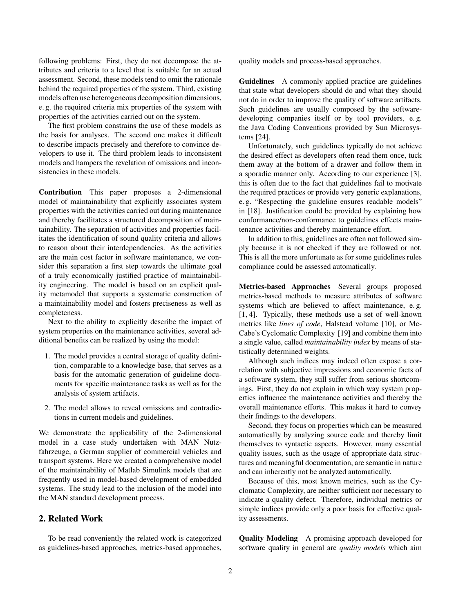following problems: First, they do not decompose the attributes and criteria to a level that is suitable for an actual assessment. Second, these models tend to omit the rationale behind the required properties of the system. Third, existing models often use heterogeneous decomposition dimensions, e. g. the required criteria mix properties of the system with properties of the activities carried out on the system.

The first problem constrains the use of these models as the basis for analyses. The second one makes it difficult to describe impacts precisely and therefore to convince developers to use it. The third problem leads to inconsistent models and hampers the revelation of omissions and inconsistencies in these models.

Contribution This paper proposes a 2-dimensional model of maintainability that explicitly associates system properties with the activities carried out during maintenance and thereby facilitates a structured decomposition of maintainability. The separation of activities and properties facilitates the identification of sound quality criteria and allows to reason about their interdependencies. As the activities are the main cost factor in software maintenance, we consider this separation a first step towards the ultimate goal of a truly economically justified practice of maintainability engineering. The model is based on an explicit quality metamodel that supports a systematic construction of a maintainability model and fosters preciseness as well as completeness.

Next to the ability to explicitly describe the impact of system properties on the maintenance activities, several additional benefits can be realized by using the model:

- 1. The model provides a central storage of quality definition, comparable to a knowledge base, that serves as a basis for the automatic generation of guideline documents for specific maintenance tasks as well as for the analysis of system artifacts.
- 2. The model allows to reveal omissions and contradictions in current models and guidelines.

We demonstrate the applicability of the 2-dimensional model in a case study undertaken with MAN Nutzfahrzeuge, a German supplier of commercial vehicles and transport systems. Here we created a comprehensive model of the maintainability of Matlab Simulink models that are frequently used in model-based development of embedded systems. The study lead to the inclusion of the model into the MAN standard development process.

### 2. Related Work

To be read conveniently the related work is categorized as guidelines-based approaches, metrics-based approaches,

quality models and process-based approaches.

Guidelines A commonly applied practice are guidelines that state what developers should do and what they should not do in order to improve the quality of software artifacts. Such guidelines are usually composed by the softwaredeveloping companies itself or by tool providers, e. g. the Java Coding Conventions provided by Sun Microsystems [24].

Unfortunately, such guidelines typically do not achieve the desired effect as developers often read them once, tuck them away at the bottom of a drawer and follow them in a sporadic manner only. According to our experience [3], this is often due to the fact that guidelines fail to motivate the required practices or provide very generic explanations, e. g. "Respecting the guideline ensures readable models" in [18]. Justification could be provided by explaining how conformance/non-conformance to guidelines effects maintenance activities and thereby maintenance effort.

In addition to this, guidelines are often not followed simply because it is not checked if they are followed or not. This is all the more unfortunate as for some guidelines rules compliance could be assessed automatically.

Metrics-based Approaches Several groups proposed metrics-based methods to measure attributes of software systems which are believed to affect maintenance, e. g. [1, 4]. Typically, these methods use a set of well-known metrics like *lines of code*, Halstead volume [10], or Mc-Cabe's Cyclomatic Complexity [19] and combine them into a single value, called *maintainability index* by means of statistically determined weights.

Although such indices may indeed often expose a correlation with subjective impressions and economic facts of a software system, they still suffer from serious shortcomings. First, they do not explain in which way system properties influence the maintenance activities and thereby the overall maintenance efforts. This makes it hard to convey their findings to the developers.

Second, they focus on properties which can be measured automatically by analyzing source code and thereby limit themselves to syntactic aspects. However, many essential quality issues, such as the usage of appropriate data structures and meaningful documentation, are semantic in nature and can inherently not be analyzed automatically.

Because of this, most known metrics, such as the Cyclomatic Complexity, are neither sufficient nor necessary to indicate a quality defect. Therefore, individual metrics or simple indices provide only a poor basis for effective quality assessments.

Quality Modeling A promising approach developed for software quality in general are *quality models* which aim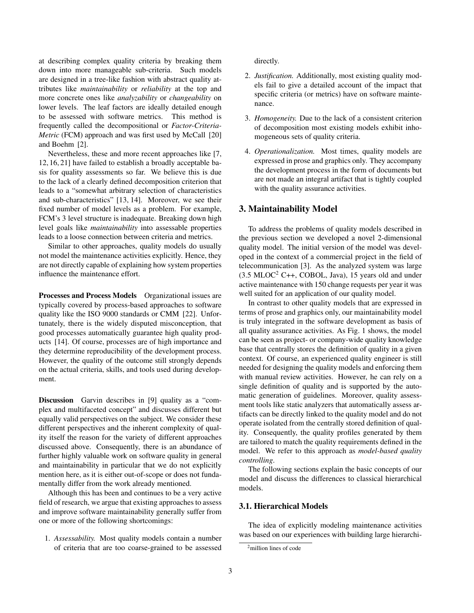at describing complex quality criteria by breaking them down into more manageable sub-criteria. Such models are designed in a tree-like fashion with abstract quality attributes like *maintainability* or *reliability* at the top and more concrete ones like *analyzability* or *changeability* on lower levels. The leaf factors are ideally detailed enough to be assessed with software metrics. This method is frequently called the decompositional or *Factor-Criteria-Metric* (FCM) approach and was first used by McCall [20] and Boehm [2].

Nevertheless, these and more recent approaches like [7, 12, 16, 21] have failed to establish a broadly acceptable basis for quality assessments so far. We believe this is due to the lack of a clearly defined decomposition criterion that leads to a "somewhat arbitrary selection of characteristics and sub-characteristics" [13, 14]. Moreover, we see their fixed number of model levels as a problem. For example, FCM's 3 level structure is inadequate. Breaking down high level goals like *maintainability* into assessable properties leads to a loose connection between criteria and metrics.

Similar to other approaches, quality models do usually not model the maintenance activities explicitly. Hence, they are not directly capable of explaining how system properties influence the maintenance effort.

Processes and Process Models Organizational issues are typically covered by process-based approaches to software quality like the ISO 9000 standards or CMM [22]. Unfortunately, there is the widely disputed misconception, that good processes automatically guarantee high quality products [14]. Of course, processes are of high importance and they determine reproducibility of the development process. However, the quality of the outcome still strongly depends on the actual criteria, skills, and tools used during development.

Discussion Garvin describes in [9] quality as a "complex and multifaceted concept" and discusses different but equally valid perspectives on the subject. We consider these different perspectives and the inherent complexity of quality itself the reason for the variety of different approaches discussed above. Consequently, there is an abundance of further highly valuable work on software quality in general and maintainability in particular that we do not explicitly mention here, as it is either out-of-scope or does not fundamentally differ from the work already mentioned.

Although this has been and continues to be a very active field of research, we argue that existing approaches to assess and improve software maintainability generally suffer from one or more of the following shortcomings:

1. *Assessability.* Most quality models contain a number of criteria that are too coarse-grained to be assessed

directly.

- 2. *Justification.* Additionally, most existing quality models fail to give a detailed account of the impact that specific criteria (or metrics) have on software maintenance.
- 3. *Homogeneity.* Due to the lack of a consistent criterion of decomposition most existing models exhibit inhomogeneous sets of quality criteria.
- 4. *Operationalization.* Most times, quality models are expressed in prose and graphics only. They accompany the development process in the form of documents but are not made an integral artifact that is tightly coupled with the quality assurance activities.

# 3. Maintainability Model

To address the problems of quality models described in the previous section we developed a novel 2-dimensional quality model. The initial version of the model was developed in the context of a commercial project in the field of telecommunication [3]. As the analyzed system was large  $(3.5 \text{ MLOC}^2 \text{ C++}, \text{COBOL}, \text{Java}),$  15 years old and under active maintenance with 150 change requests per year it was well suited for an application of our quality model.

In contrast to other quality models that are expressed in terms of prose and graphics only, our maintainability model is truly integrated in the software development as basis of all quality assurance activities. As Fig. 1 shows, the model can be seen as project- or company-wide quality knowledge base that centrally stores the definition of quality in a given context. Of course, an experienced quality engineer is still needed for designing the quality models and enforcing them with manual review activities. However, he can rely on a single definition of quality and is supported by the automatic generation of guidelines. Moreover, quality assessment tools like static analyzers that automatically assess artifacts can be directly linked to the quality model and do not operate isolated from the centrally stored definition of quality. Consequently, the quality profiles generated by them are tailored to match the quality requirements defined in the model. We refer to this approach as *model-based quality controlling*.

The following sections explain the basic concepts of our model and discuss the differences to classical hierarchical models.

# 3.1. Hierarchical Models

The idea of explicitly modeling maintenance activities was based on our experiences with building large hierarchi-

<sup>2</sup>million lines of code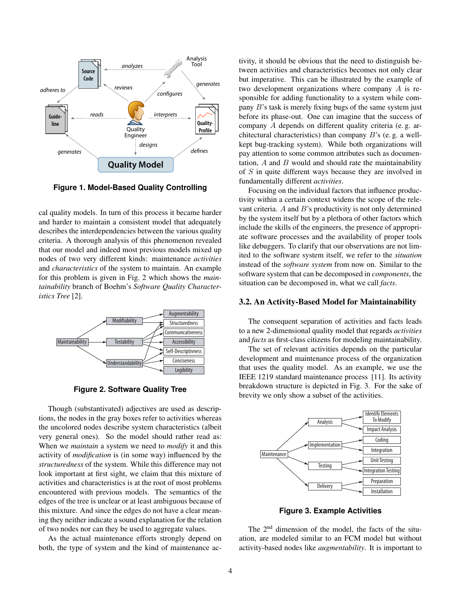

**Figure 1. Model-Based Quality Controlling**

cal quality models. In turn of this process it became harder and harder to maintain a consistent model that adequately describes the interdependencies between the various quality criteria. A thorough analysis of this phenomenon revealed that our model and indeed most previous models mixed up nodes of two very different kinds: maintenance *activities* and *characteristics* of the system to maintain. An example for this problem is given in Fig. 2 which shows the *maintainability* branch of Boehm's *Software Quality Characteristics Tree* [2].



**Figure 2. Software Quality Tree**

Though (substantivated) adjectives are used as descriptions, the nodes in the gray boxes refer to activities whereas the uncolored nodes describe system characteristics (albeit very general ones). So the model should rather read as: When we *maintain* a system we need to *modify* it and this activity of *modification* is (in some way) influenced by the *structuredness* of the system. While this difference may not look important at first sight, we claim that this mixture of activities and characteristics is at the root of most problems encountered with previous models. The semantics of the edges of the tree is unclear or at least ambiguous because of this mixture. And since the edges do not have a clear meaning they neither indicate a sound explanation for the relation of two nodes nor can they be used to aggregate values.

As the actual maintenance efforts strongly depend on both, the type of system and the kind of maintenance activity, it should be obvious that the need to distinguish between activities and characteristics becomes not only clear but imperative. This can be illustrated by the example of two development organizations where company  $A$  is responsible for adding functionality to a system while company B's task is merely fixing bugs of the same system just before its phase-out. One can imagine that the success of company A depends on different quality criteria (e. g. architectural characteristics) than company B's (e. g. a wellkept bug-tracking system). While both organizations will pay attention to some common attributes such as documentation,  $A$  and  $B$  would and should rate the maintainability of S in quite different ways because they are involved in fundamentally different *activities*.

Focusing on the individual factors that influence productivity within a certain context widens the scope of the relevant criteria.  $A$  and  $B$ 's productivity is not only determined by the system itself but by a plethora of other factors which include the skills of the engineers, the presence of appropriate software processes and the availability of proper tools like debuggers. To clarify that our observations are not limited to the software system itself, we refer to the *situation* instead of the *software system* from now on. Similar to the software system that can be decomposed in *components*, the situation can be decomposed in, what we call *facts*.

#### 3.2. An Activity-Based Model for Maintainability

The consequent separation of activities and facts leads to a new 2-dimensional quality model that regards *activities* and *facts* as first-class citizens for modeling maintainability.

The set of relevant activities depends on the particular development and maintenance process of the organization that uses the quality model. As an example, we use the IEEE 1219 standard maintenance process [11]. Its activity breakdown structure is depicted in Fig. 3. For the sake of brevity we only show a subset of the activities.



**Figure 3. Example Activities**

The 2<sup>nd</sup> dimension of the model, the facts of the situation, are modeled similar to an FCM model but without activity-based nodes like *augmentability*. It is important to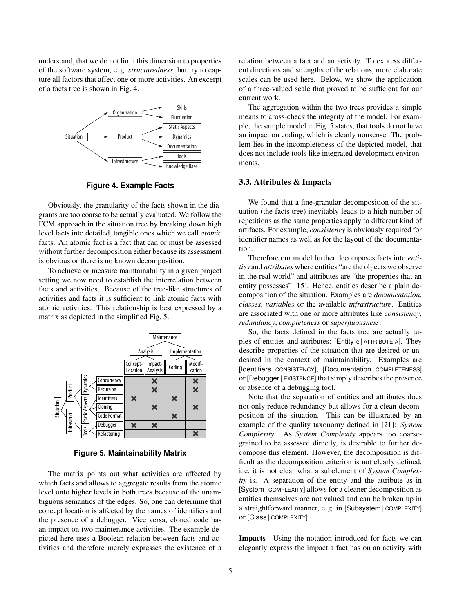understand, that we do not limit this dimension to properties of the software system, e. g. *structuredness*, but try to capture all factors that affect one or more activities. An excerpt of a facts tree is shown in Fig. 4.



**Figure 4. Example Facts**

Obviously, the granularity of the facts shown in the diagrams are too coarse to be actually evaluated. We follow the FCM approach in the situation tree by breaking down high level facts into detailed, tangible ones which we call *atomic* facts. An atomic fact is a fact that can or must be assessed without further decomposition either because its assessment is obvious or there is no known decomposition.

To achieve or measure maintainability in a given project setting we now need to establish the interrelation between facts and activities. Because of the tree-like structures of activities and facts it is sufficient to link atomic facts with atomic activities. This relationship is best expressed by a matrix as depicted in the simplified Fig. 5.



**Figure 5. Maintainability Matrix**

The matrix points out what activities are affected by which facts and allows to aggregate results from the atomic level onto higher levels in both trees because of the unambiguous semantics of the edges. So, one can determine that concept location is affected by the names of identifiers and the presence of a debugger. Vice versa, cloned code has an impact on two maintenance activities. The example depicted here uses a Boolean relation between facts and activities and therefore merely expresses the existence of a

relation between a fact and an activity. To express different directions and strengths of the relations, more elaborate scales can be used here. Below, we show the application of a three-valued scale that proved to be sufficient for our current work.

The aggregation within the two trees provides a simple means to cross-check the integrity of the model. For example, the sample model in Fig. 5 states, that tools do not have an impact on coding, which is clearly nonsense. The problem lies in the incompleteness of the depicted model, that does not include tools like integrated development environments.

# 3.3. Attributes & Impacts

We found that a fine-granular decomposition of the situation (the facts tree) inevitably leads to a high number of repetitions as the same properties apply to different kind of artifacts. For example, *consistency* is obviously required for identifier names as well as for the layout of the documentation.

Therefore our model further decomposes facts into *entities* and *attributes* where entities "are the objects we observe in the real world" and attributes are "the properties that an entity possesses" [15]. Hence, entities describe a plain decomposition of the situation. Examples are *documentation*, *classes*, *variables* or the available *infrastructure*. Entities are associated with one or more attributes like *consistency*, *redundancy*, *completeness* or *superfluousness*.

So, the facts defined in the facts tree are actually tuples of entities and attributes: [Entity e | ATTRIBUTE <sup>A</sup>]. They describe properties of the situation that are desired or undesired in the context of maintainability. Examples are [Identifiers | CONSISTENCY], [Documentation | COMPLETENESS] or [Debugger | EXISTENCE] that simply describes the presence or absence of a debugging tool.

Note that the separation of entities and attributes does not only reduce redundancy but allows for a clean decomposition of the situation. This can be illustrated by an example of the quality taxonomy defined in [21]: *System Complexity*. As *System Complexity* appears too coarsegrained to be assessed directly, is desirable to further decompose this element. However, the decomposition is difficult as the decomposition criterion is not clearly defined, i. e. it is not clear what a subelement of *System Complexity* is. A separation of the entity and the attribute as in [System | COMPLEXITY] allows for a cleaner decomposition as entities themselves are not valued and can be broken up in a straightforward manner, e. g. in [Subsystem | COMPLEXITY] or [Class | COMPLEXITY].

Impacts Using the notation introduced for facts we can elegantly express the impact a fact has on an activity with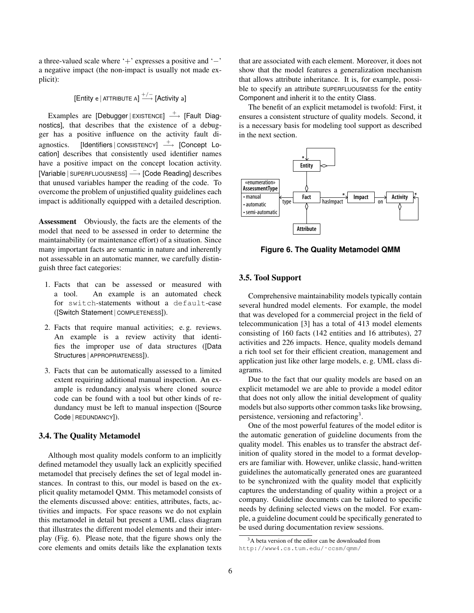a three-valued scale where '+' expresses a positive and '−' a negative impact (the non-impact is usually not made explicit):

[Entity e | ATTRIBUTE A] 
$$
\xrightarrow{+/-}
$$
 [Activity a]

 $\text{Examples are }$  [Debugger | EXISTENCE]  $\stackrel{+}{\longrightarrow}$  [Fault Diagnostics], that describes that the existence of a debugger has a positive influence on the activity fault diagnostics. [Identifiers | CONSISTENCY]  $\;\overset{+}{\longrightarrow}\;$  [Concept Location] describes that consistently used identifier names have a positive impact on the concept location activity.  $[$ Variable | SUPERFLUOUSNESS $] \stackrel{-}{\longrightarrow} [$ Code Reading] describes that unused variables hamper the reading of the code. To overcome the problem of unjustified quality guidelines each impact is additionally equipped with a detailed description.

Assessment Obviously, the facts are the elements of the model that need to be assessed in order to determine the maintainability (or maintenance effort) of a situation. Since many important facts are semantic in nature and inherently not assessable in an automatic manner, we carefully distinguish three fact categories:

- 1. Facts that can be assessed or measured with a tool. An example is an automated check for switch-statements without a default-case ([Switch Statement | COMPLETENESS]).
- 2. Facts that require manual activities; e. g. reviews. An example is a review activity that identifies the improper use of data structures ([Data Structures | APPROPRIATENESS]).
- 3. Facts that can be automatically assessed to a limited extent requiring additional manual inspection. An example is redundancy analysis where cloned source code can be found with a tool but other kinds of redundancy must be left to manual inspection ([Source Code | REDUNDANCY]).

# 3.4. The Quality Metamodel

Although most quality models conform to an implicitly defined metamodel they usually lack an explicitly specified metamodel that precisely defines the set of legal model instances. In contrast to this, our model is based on the explicit quality metamodel QMM. This metamodel consists of the elements discussed above: entities, attributes, facts, activities and impacts. For space reasons we do not explain this metamodel in detail but present a UML class diagram that illustrates the different model elements and their interplay (Fig. 6). Please note, that the figure shows only the core elements and omits details like the explanation texts

that are associated with each element. Moreover, it does not show that the model features a generalization mechanism that allows attribute inheritance. It is, for example, possible to specify an attribute SUPERFLUOUSNESS for the entity Component and inherit it to the entity Class.

The benefit of an explicit metamodel is twofold: First, it ensures a consistent structure of quality models. Second, it is a necessary basis for modeling tool support as described in the next section.



**Figure 6. The Quality Metamodel QMM**

#### 3.5. Tool Support

Comprehensive maintainability models typically contain several hundred model elements. For example, the model that was developed for a commercial project in the field of telecommunication [3] has a total of 413 model elements consisting of 160 facts (142 entities and 16 attributes), 27 activities and 226 impacts. Hence, quality models demand a rich tool set for their efficient creation, management and application just like other large models, e. g. UML class diagrams.

Due to the fact that our quality models are based on an explicit metamodel we are able to provide a model editor that does not only allow the initial development of quality models but also supports other common tasks like browsing, persistence, versioning and refactoring<sup>3</sup>.

One of the most powerful features of the model editor is the automatic generation of guideline documents from the quality model. This enables us to transfer the abstract definition of quality stored in the model to a format developers are familiar with. However, unlike classic, hand-written guidelines the automatically generated ones are guaranteed to be synchronized with the quality model that explicitly captures the understanding of quality within a project or a company. Guideline documents can be tailored to specific needs by defining selected views on the model. For example, a guideline document could be specifically generated to be used during documentation review sessions.

<sup>3</sup>A beta version of the editor can be downloaded from http://www4.cs.tum.edu/˜ccsm/qmm/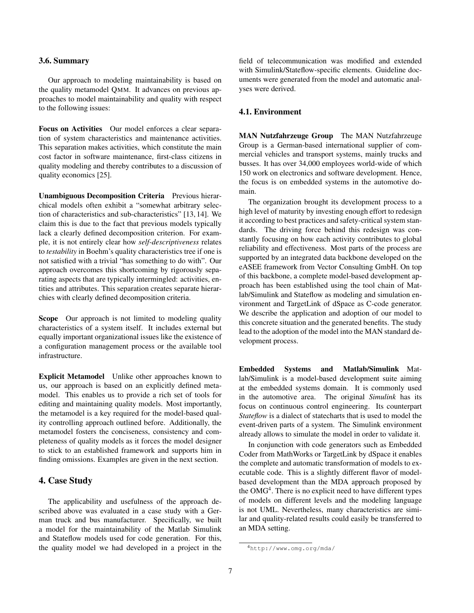#### 3.6. Summary

Our approach to modeling maintainability is based on the quality metamodel QMM. It advances on previous approaches to model maintainability and quality with respect to the following issues:

Focus on Activities Our model enforces a clear separation of system characteristics and maintenance activities. This separation makes activities, which constitute the main cost factor in software maintenance, first-class citizens in quality modeling and thereby contributes to a discussion of quality economics [25].

Unambiguous Decomposition Criteria Previous hierarchical models often exhibit a "somewhat arbitrary selection of characteristics and sub-characteristics" [13, 14]. We claim this is due to the fact that previous models typically lack a clearly defined decomposition criterion. For example, it is not entirely clear how *self-descriptiveness* relates to *testability* in Boehm's quality characteristics tree if one is not satisfied with a trivial "has something to do with". Our approach overcomes this shortcoming by rigorously separating aspects that are typically intermingled: activities, entities and attributes. This separation creates separate hierarchies with clearly defined decomposition criteria.

Scope Our approach is not limited to modeling quality characteristics of a system itself. It includes external but equally important organizational issues like the existence of a configuration management process or the available tool infrastructure.

Explicit Metamodel Unlike other approaches known to us, our approach is based on an explicitly defined metamodel. This enables us to provide a rich set of tools for editing and maintaining quality models. Most importantly, the metamodel is a key required for the model-based quality controlling approach outlined before. Additionally, the metamodel fosters the conciseness, consistency and completeness of quality models as it forces the model designer to stick to an established framework and supports him in finding omissions. Examples are given in the next section.

# 4. Case Study

The applicability and usefulness of the approach described above was evaluated in a case study with a German truck and bus manufacturer. Specifically, we built a model for the maintainability of the Matlab Simulink and Stateflow models used for code generation. For this, the quality model we had developed in a project in the field of telecommunication was modified and extended with Simulink/Stateflow-specific elements. Guideline documents were generated from the model and automatic analyses were derived.

#### 4.1. Environment

MAN Nutzfahrzeuge Group The MAN Nutzfahrzeuge Group is a German-based international supplier of commercial vehicles and transport systems, mainly trucks and busses. It has over 34,000 employees world-wide of which 150 work on electronics and software development. Hence, the focus is on embedded systems in the automotive domain.

The organization brought its development process to a high level of maturity by investing enough effort to redesign it according to best practices and safety-critical system standards. The driving force behind this redesign was constantly focusing on how each activity contributes to global reliability and effectiveness. Most parts of the process are supported by an integrated data backbone developed on the eASEE framework from Vector Consulting GmbH. On top of this backbone, a complete model-based development approach has been established using the tool chain of Matlab/Simulink and Stateflow as modeling and simulation environment and TargetLink of dSpace as C-code generator. We describe the application and adoption of our model to this concrete situation and the generated benefits. The study lead to the adoption of the model into the MAN standard development process.

Embedded Systems and Matlab/Simulink Matlab/Simulink is a model-based development suite aiming at the embedded systems domain. It is commonly used in the automotive area. The original *Simulink* has its focus on continuous control engineering. Its counterpart *Stateflow* is a dialect of statecharts that is used to model the event-driven parts of a system. The Simulink environment already allows to simulate the model in order to validate it.

In conjunction with code generators such as Embedded Coder from MathWorks or TargetLink by dSpace it enables the complete and automatic transformation of models to executable code. This is a slightly different flavor of modelbased development than the MDA approach proposed by the OMG<sup>4</sup>. There is no explicit need to have different types of models on different levels and the modeling language is not UML. Nevertheless, many characteristics are similar and quality-related results could easily be transferred to an MDA setting.

<sup>4</sup>http://www.omg.org/mda/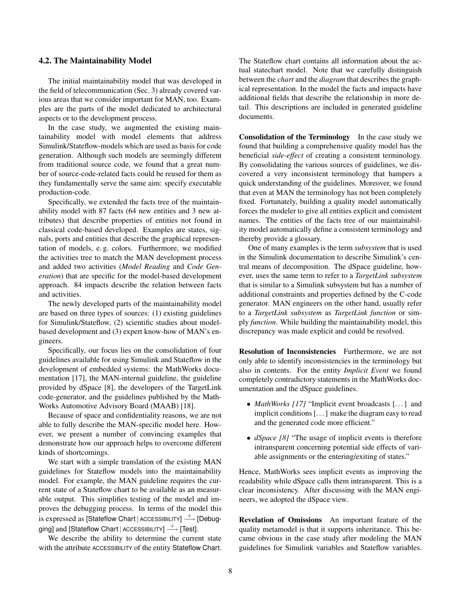#### 4.2. The Maintainability Model

The initial maintainability model that was developed in the field of telecommunication (Sec. 3) already covered various areas that we consider important for MAN, too. Examples are the parts of the model dedicated to architectural aspects or to the development process.

In the case study, we augmented the existing maintainability model with model elements that address Simulink/Stateflow-models which are used as basis for code generation. Although such models are seemingly different from traditional source code, we found that a great number of source-code-related facts could be reused for them as they fundamentally serve the same aim: specify executable production-code.

Specifically, we extended the facts tree of the maintainability model with 87 facts (64 new entities and 3 new attributes) that describe properties of entities not found in classical code-based developed. Examples are states, signals, ports and entities that describe the graphical representation of models, e. g. colors. Furthermore, we modified the activities tree to match the MAN development process and added two activities (*Model Reading* and *Code Generation*) that are specific for the model-based development approach. 84 impacts describe the relation between facts and activities.

The newly developed parts of the maintainability model are based on three types of sources: (1) existing guidelines for Simulink/Stateflow, (2) scientific studies about modelbased development and (3) expert know-how of MAN's engineers.

Specifically, our focus lies on the consolidation of four guidelines available for using Simulink and Stateflow in the development of embedded systems: the MathWorks documentation [17], the MAN-internal guideline, the guideline provided by dSpace [8], the developers of the TargetLink code-generator, and the guidelines published by the Math-Works Automotive Advisory Board (MAAB) [18].

Because of space and confidentiality reasons, we are not able to fully describe the MAN-specific model here. However, we present a number of convincing examples that demonstrate how our approach helps to overcome different kinds of shortcomings.

We start with a simple translation of the existing MAN guidelines for Stateflow models into the maintainability model. For example, the MAN guideline requires the current state of a Stateflow chart to be available as an measurable output. This simplifies testing of the model and improves the debugging process. In terms of the model this  $\,$  is expressed as [Stateflow Chart | <code>ACCESSIBILITY]</code>  $\stackrel{+}{\longrightarrow}$  [Debugging] and [Stateflow Chart | <code>ACCESSIBILITY]  $\stackrel{+}{\longrightarrow}$  [Test].</code>

We describe the ability to determine the current state with the attribute ACCESSIBILITY of the entity Stateflow Chart.

The Stateflow chart contains all information about the actual statechart model. Note that we carefully distinguish between the *chart* and the *diagram* that describes the graphical representation. In the model the facts and impacts have additional fields that describe the relationship in more detail. This descriptions are included in generated guideline documents.

Consolidation of the Terminology In the case study we found that building a comprehensive quality model has the beneficial *side-effect* of creating a consistent terminology. By consolidating the various sources of guidelines, we discovered a very inconsistent terminology that hampers a quick understanding of the guidelines. Moreover, we found that even at MAN the terminology has not been completely fixed. Fortunately, building a quality model automatically forces the modeler to give all entities explicit and consistent names. The entities of the facts tree of our maintainability model automatically define a consistent terminology and thereby provide a glossary.

One of many examples is the term *subsystem* that is used in the Simulink documentation to describe Simulink's central means of decomposition. The dSpace guideline, however, uses the same term to refer to a *TargetLink subsystem* that is similar to a Simulink subsystem but has a number of additional constraints and properties defined by the C-code generator. MAN engineers on the other hand, usually refer to a *TargetLink subsystem* as *TargetLink function* or simply *function*. While building the maintainability model, this discrepancy was made explicit and could be resolved.

Resolution of Inconsistencies Furthermore, we are not only able to identify inconsistencies in the terminology but also in contents. For the entity *Implicit Event* we found completely contradictory statements in the MathWorks documentation and the dSpace guidelines.

- *MathWorks [17]* "Implicit event broadcasts [...] and implicit conditions [. . . ] make the diagram easy to read and the generated code more efficient."
- *dSpace* [8] "The usage of implicit events is therefore intransparent concerning potential side effects of variable assignments or the entering/exiting of states."

Hence, MathWorks sees implicit events as improving the readability while dSpace calls them intransparent. This is a clear inconsistency. After discussing with the MAN engineers, we adopted the dSpace view.

Revelation of Omissions An important feature of the quality metamodel is that it supports inheritance. This became obvious in the case study after modeling the MAN guidelines for Simulink variables and Stateflow variables.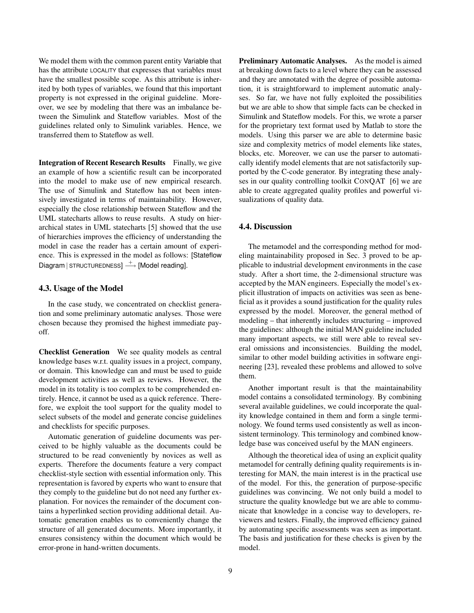We model them with the common parent entity Variable that has the attribute LOCALITY that expresses that variables must have the smallest possible scope. As this attribute is inherited by both types of variables, we found that this important property is not expressed in the original guideline. Moreover, we see by modeling that there was an imbalance between the Simulink and Stateflow variables. Most of the guidelines related only to Simulink variables. Hence, we transferred them to Stateflow as well.

Integration of Recent Research Results Finally, we give an example of how a scientific result can be incorporated into the model to make use of new empirical research. The use of Simulink and Stateflow has not been intensively investigated in terms of maintainability. However, especially the close relationship between Stateflow and the UML statecharts allows to reuse results. A study on hierarchical states in UML statecharts [5] showed that the use of hierarchies improves the efficiency of understanding the model in case the reader has a certain amount of experience. This is expressed in the model as follows: [Stateflow Diagram | STRUCTUREDNESS]  $\stackrel{+}{\longrightarrow}$  [Model reading].

### 4.3. Usage of the Model

In the case study, we concentrated on checklist generation and some preliminary automatic analyses. Those were chosen because they promised the highest immediate payoff.

Checklist Generation We see quality models as central knowledge bases w.r.t. quality issues in a project, company, or domain. This knowledge can and must be used to guide development activities as well as reviews. However, the model in its totality is too complex to be comprehended entirely. Hence, it cannot be used as a quick reference. Therefore, we exploit the tool support for the quality model to select subsets of the model and generate concise guidelines and checklists for specific purposes.

Automatic generation of guideline documents was perceived to be highly valuable as the documents could be structured to be read conveniently by novices as well as experts. Therefore the documents feature a very compact checklist-style section with essential information only. This representation is favored by experts who want to ensure that they comply to the guideline but do not need any further explanation. For novices the remainder of the document contains a hyperlinked section providing additional detail. Automatic generation enables us to conveniently change the structure of all generated documents. More importantly, it ensures consistency within the document which would be error-prone in hand-written documents.

Preliminary Automatic Analyses. As the model is aimed at breaking down facts to a level where they can be assessed and they are annotated with the degree of possible automation, it is straightforward to implement automatic analyses. So far, we have not fully exploited the possibilities but we are able to show that simple facts can be checked in Simulink and Stateflow models. For this, we wrote a parser for the proprietary text format used by Matlab to store the models. Using this parser we are able to determine basic size and complexity metrics of model elements like states, blocks, etc. Moreover, we can use the parser to automatically identify model elements that are not satisfactorily supported by the C-code generator. By integrating these analyses in our quality controlling toolkit CONQAT [6] we are able to create aggregated quality profiles and powerful visualizations of quality data.

#### 4.4. Discussion

The metamodel and the corresponding method for modeling maintainability proposed in Sec. 3 proved to be applicable to industrial development environments in the case study. After a short time, the 2-dimensional structure was accepted by the MAN engineers. Especially the model's explicit illustration of impacts on activities was seen as beneficial as it provides a sound justification for the quality rules expressed by the model. Moreover, the general method of modeling – that inherently includes structuring – improved the guidelines: although the initial MAN guideline included many important aspects, we still were able to reveal several omissions and inconsistencies. Building the model, similar to other model building activities in software engineering [23], revealed these problems and allowed to solve them.

Another important result is that the maintainability model contains a consolidated terminology. By combining several available guidelines, we could incorporate the quality knowledge contained in them and form a single terminology. We found terms used consistently as well as inconsistent terminology. This terminology and combined knowledge base was conceived useful by the MAN engineers.

Although the theoretical idea of using an explicit quality metamodel for centrally defining quality requirements is interesting for MAN, the main interest is in the practical use of the model. For this, the generation of purpose-specific guidelines was convincing. We not only build a model to structure the quality knowledge but we are able to communicate that knowledge in a concise way to developers, reviewers and testers. Finally, the improved efficiency gained by automating specific assessments was seen as important. The basis and justification for these checks is given by the model.